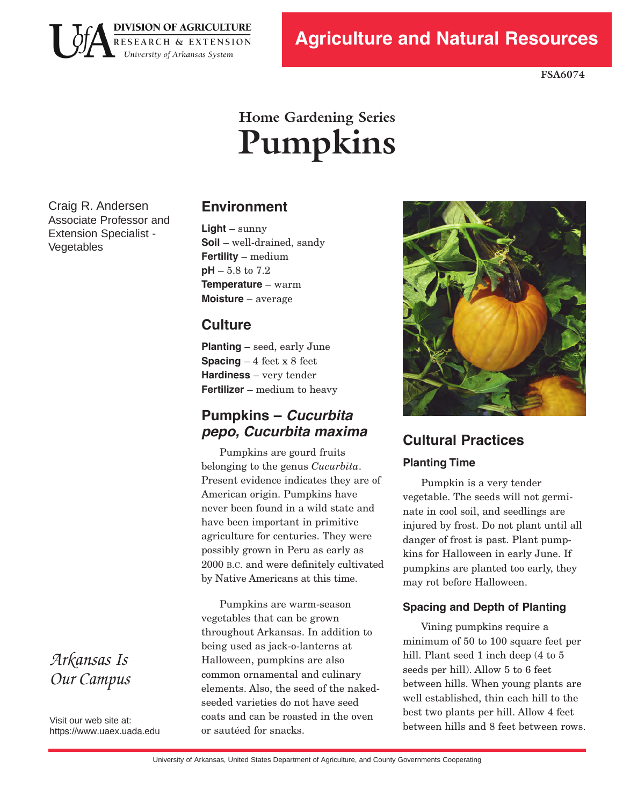

**FSA6074**

# **Home Gardening Series Pumpkins**

Craig R. Andersen Associate Professor and Extension Specialist -Vegetables

# **Environment**

**Light** – sunny **Soil** – well-drained, sandy **Fertility** – medium **pH** – 5.8 to 7.2 **Temperature** – warm **Moisture** – average

# **Culture**

**Planting** – seed, early June **Spacing** – 4 feet x 8 feet **Hardiness** – very tender **Fertilizer** – medium to heavy

### **Pumpkins – Cucurbita pepo, Cucurbita maxima**

 2000 B.C. and were definitely cultivated by Native Americans at this time. Pumpkins are gourd fruits belonging to the genus *Cucurbita*. Present evidence indicates they are of American origin. Pumpkins have never been found in a wild state and have been important in primitive agriculture for centuries. They were possibly grown in Peru as early as

Pumpkins are warm-season vegetables that can be grown throughout Arkansas. In addition to being used as jack-o-lanterns at Halloween, pumpkins are also common ornamental and culinary elements. Also, the seed of the nakedseeded varieties do not have seed coats and can be roasted in the oven or sautéed for snacks.



# **Cultural Practices Planting Time**

Pumpkin is a very tender vegetable. The seeds will not germinate in cool soil, and seedlings are injured by frost. Do not plant until all danger of frost is past. Plant pumpkins for Halloween in early June. If pumpkins are planted too early, they may rot before Halloween.

#### **Spacing and Depth of Planting**

Vining pumpkins require a minimum of 50 to 100 square feet per hill. Plant seed 1 inch deep (4 to 5) seeds per hill). Allow 5 to 6 feet between hills. When young plants are well established, thin each hill to the best two plants per hill. Allow 4 feet between hills and 8 feet between rows.

# *Arkansas Is Our Campus*

Visit our web site at: https[://www.uaex](https://www.uaex.uada.edu).uada.edu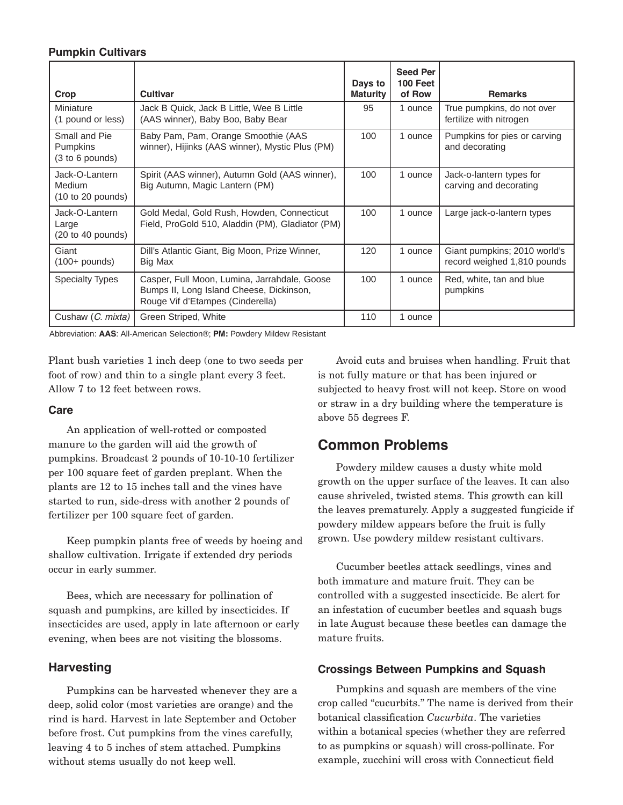#### **Pumpkin Cultivars**

| Crop                                                            | <b>Cultivar</b>                                                                                                              | Days to<br><b>Maturity</b> | <b>Seed Per</b><br>100 Feet<br>of Row | <b>Remarks</b>                                              |
|-----------------------------------------------------------------|------------------------------------------------------------------------------------------------------------------------------|----------------------------|---------------------------------------|-------------------------------------------------------------|
| Miniature<br>(1 pound or less)                                  | Jack B Quick, Jack B Little, Wee B Little<br>(AAS winner), Baby Boo, Baby Bear                                               | 95                         | 1 ounce                               | True pumpkins, do not over<br>fertilize with nitrogen       |
| Small and Pie<br>Pumpkins<br>(3 to 6 pounds)                    | Baby Pam, Pam, Orange Smoothie (AAS<br>winner), Hijinks (AAS winner), Mystic Plus (PM)                                       | 100                        | 1 ounce                               | Pumpkins for pies or carving<br>and decorating              |
| Jack-O-Lantern<br><b>Medium</b><br>(10 to 20 pounds)            | Spirit (AAS winner), Autumn Gold (AAS winner),<br>Big Autumn, Magic Lantern (PM)                                             | 100                        | 1 ounce                               | Jack-o-lantern types for<br>carving and decorating          |
| Jack-O-Lantern<br>Large<br>$(20 \text{ to } 40 \text{ pounds})$ | Gold Medal, Gold Rush, Howden, Connecticut<br>Field, ProGold 510, Aladdin (PM), Gladiator (PM)                               | 100                        | 1 ounce                               | Large jack-o-lantern types                                  |
| Giant<br>$(100+$ pounds)                                        | Dill's Atlantic Giant, Big Moon, Prize Winner,<br>Big Max                                                                    | 120                        | 1 ounce                               | Giant pumpkins; 2010 world's<br>record weighed 1,810 pounds |
| <b>Specialty Types</b>                                          | Casper, Full Moon, Lumina, Jarrahdale, Goose<br>Bumps II, Long Island Cheese, Dickinson,<br>Rouge Vif d'Etampes (Cinderella) | 100                        | 1 ounce                               | Red, white, tan and blue<br>pumpkins                        |
| Cushaw (C. mixta)                                               | Green Striped, White                                                                                                         | 110                        | 1 ounce                               |                                                             |

Abbreviation: **AAS**: AllAmerican Selection®; **PM:** Powdery Mildew Resistant

Plant bush varieties 1 inch deep (one to two seeds per foot of row) and thin to a single plant every 3 feet. Allow 7 to 12 feet between rows.

#### **Care**

An application of well-rotted or composted manure to the garden will aid the growth of pumpkins. Broadcast 2 pounds of 10-10-10 fertilizer per 100 square feet of garden preplant. When the plants are 12 to 15 inches tall and the vines have started to run, side-dress with another 2 pounds of fertilizer per 100 square feet of garden.

Keep pumpkin plants free of weeds by hoeing and shallow cultivation. Irrigate if extended dry periods occur in early summer.

Bees, which are necessary for pollination of squash and pumpkins, are killed by insecticides. If insecticides are used, apply in late afternoon or early evening, when bees are not visiting the blossoms.

#### **Harvesting**

Pumpkins can be harvested whenever they are a deep, solid color (most varieties are orange) and the rind is hard. Harvest in late September and October before frost. Cut pumpkins from the vines carefully, leaving 4 to 5 inches of stem attached. Pumpkins without stems usually do not keep well.

Avoid cuts and bruises when handling. Fruit that is not fully mature or that has been injured or subjected to heavy frost will not keep. Store on wood or straw in a dry building where the temperature is above 55 degrees F.

### **Common Problems**

Powdery mildew causes a dusty white mold growth on the upper surface of the leaves. It can also cause shriveled, twisted stems. This growth can kill the leaves prematurely. Apply a suggested fungicide if powdery mildew appears before the fruit is fully grown. Use powdery mildew resistant cultivars.

Cucumber beetles attack seedlings, vines and both immature and mature fruit. They can be controlled with a suggested insecticide. Be alert for an infestation of cucumber beetles and squash bugs in late August because these beetles can damage the mature fruits.

#### **Crossings Between Pumpkins and Squash**

 Pumpkins and squash are members of the vine crop called "cucurbits." The name is derived from their botanical classification *Cucurbita*. The varieties within a botanical species (whether they are referred to as pumpkins or squash) will cross-pollinate. For example, zucchini will cross with Connecticut field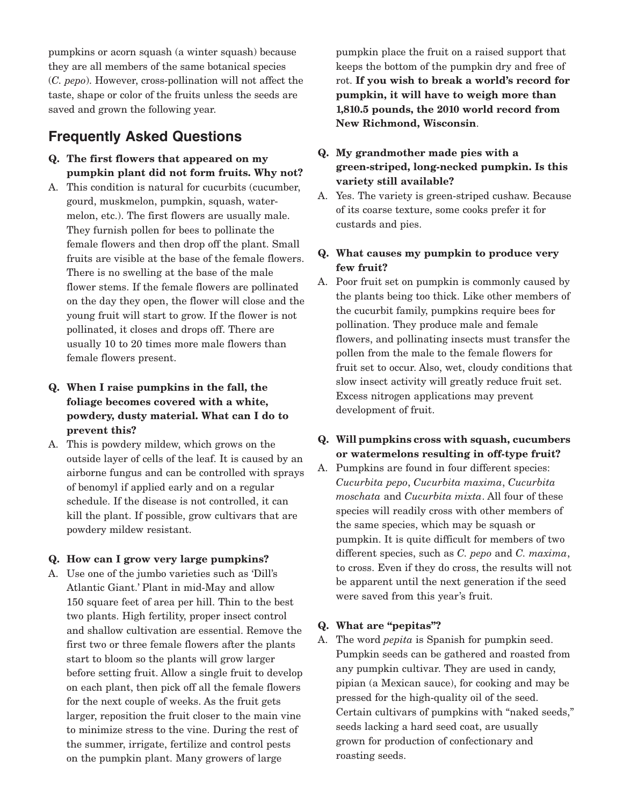pumpkins or acorn squash (a winter squash) because they are all members of the same botanical species (*C. pepo*). However, crosspollination will not affect the taste, shape or color of the fruits unless the seeds are saved and grown the following year.

## **Frequently Asked Questions**

- **Q. The first flowers that appeared on my pumpkin plant did not form fruits. Why not?**
- A. This condition is natural for cucurbits (cucumber, gourd, muskmelon, pumpkin, squash, watermelon, etc.). The first flowers are usually male. They furnish pollen for bees to pollinate the female flowers and then drop off the plant. Small fruits are visible at the base of the female flowers. There is no swelling at the base of the male flower stems. If the female flowers are pollinated on the day they open, the flower will close and the young fruit will start to grow. If the flower is not pollinated, it closes and drops off. There are usually 10 to 20 times more male flowers than female flowers present.
- **Q. When I raise pumpkins in the fall, the foliage becomes covered with a white, powdery, dusty material. What can I do to prevent this?**
- A. This is powdery mildew, which grows on the outside layer of cells of the leaf. It is caused by an airborne fungus and can be controlled with sprays of benomyl if applied early and on a regular schedule. If the disease is not controlled, it can kill the plant. If possible, grow cultivars that are powdery mildew resistant.

#### **Q. How can I grow very large pumpkins?**

A. Use one of the jumbo varieties such as 'Dill's Atlantic Giant.' Plant in mid-May and allow 150 square feet of area per hill. Thin to the best two plants. High fertility, proper insect control and shallow cultivation are essential. Remove the first two or three female flowers after the plants start to bloom so the plants will grow larger before setting fruit. Allow a single fruit to develop on each plant, then pick off all the female flowers for the next couple of weeks. As the fruit gets larger, reposition the fruit closer to the main vine to minimize stress to the vine. During the rest of the summer, irrigate, fertilize and control pests on the pumpkin plant. Many growers of large

pumpkin place the fruit on a raised support that keeps the bottom of the pumpkin dry and free of rot. **If you wish to break a world's record for pumpkin, it will have to weigh more than 1,810.5 pounds, the 2010 world record from New Richmond, Wisconsin**.

- **Q. My grandmother made pies with a** green-striped, long-necked pumpkin. Is this **variety still available?**
- A. Yes. The variety is green-striped cushaw. Because of its coarse texture, some cooks prefer it for custards and pies.

#### **Q. What causes my pumpkin to produce very few fruit?**

- A. Poor fruit set on pumpkin is commonly caused by the plants being too thick. Like other members of the cucurbit family, pumpkins require bees for pollination. They produce male and female flowers, and pollinating insects must transfer the pollen from the male to the female flowers for fruit set to occur. Also, wet, cloudy conditions that slow insect activity will greatly reduce fruit set. Excess nitrogen applications may prevent development of fruit.
- **Q. Will pumpkins cross with squash, cucumbers** or watermelons resulting in off-type fruit?
- A. Pumpkins are found in four different species: *Cucurbita pepo*, *Cucurbita maxima*, *Cucurbita moschata* and *Cucurbita mixta*. All four of these species will readily cross with other members of the same species, which may be squash or pumpkin. It is quite difficult for members of two different species, such as *C. pepo* and *C. maxima*, to cross. Even if they do cross, the results will not be apparent until the next generation if the seed were saved from this year's fruit.

#### **Q. What are "pepitas"?**

A. The word *pepita* is Spanish for pumpkin seed. Pumpkin seeds can be gathered and roasted from any pumpkin cultivar. They are used in candy, pipian (a Mexican sauce), for cooking and may be pressed for the high-quality oil of the seed. Certain cultivars of pumpkins with "naked seeds," seeds lacking a hard seed coat, are usually grown for production of confectionary and roasting seeds.